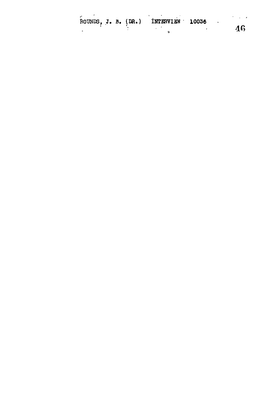|  |  | ROUNDS, J. B. (DR.) INTERVIEW 10036 |  |    |
|--|--|-------------------------------------|--|----|
|  |  |                                     |  | 46 |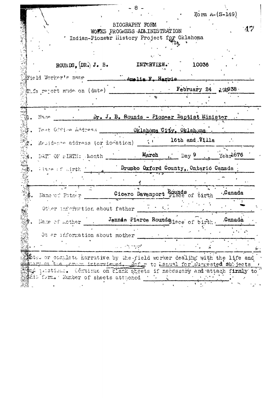$F_0$ rm A- $(S-149)$ BIOGRAPHY FORM  $\Lambda$   $\sim$ WOFKS FROGRESS ADMINISTRATION \* Indian-Pioneer History Project for Oklahoma ROUNDS,  $[DR_2, J_6, B_6,$ INTERVIEW. 10036 Field Worker's name Manalia F. Harri February 24 195938 This report mude on (date) Dr. J. B. Rounds - Pioneer Baptist Minister Niene Oklahoma City, Oklahoma Fost Office Address 16th and Villa  $\mathcal{L}^{\mathcal{A}}$ - Residence address (or flocation) DATT OF DIRTH: Month March ... Day 9  $Year^{1876}$ Drumbo Oxford County, Ontario Canada Hare of Lirth 1.  $\overline{\mathbb{R}}$ Cicero Davenport Hece of birth .Canada. Name of Fatner Other information about father Jennde Pierce Roundsplace of birth. Canada Hame of mother Ot er information about mother ು ಎಂದಿಗಳು  $5$ tes or complete harrative by the field worker dealing with the life and am or the formon interviewed. For to Lanual for suggested subjects the partions. Continue on clank sheets if necessary and attach firmly to tis form. Wumber of sheets attached in the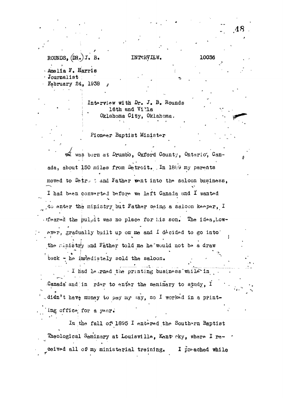## ROUNDS,  $(DR_{\bullet})$  J.

INTERVIEW.

Amalia F. Harris Journalist February 24, 1938

> Interview with Dr. J. B. Rounds 16th and Villa Oklahoma City, Oklahoma.

Pioneer Baptist Minister

m was born at Drumbo, Oxford County, Ontario, Canada, about 150 miles from Detroit. In 1889 my parents moved to Detro t and Father went into the saloon business, I had been converted before we left Canada and I wanted to enter the ministry but Father being a saloon keeper, I feared the pulpit was no place for his son. The idea, however, gradually built up on me and I decided to go into the ministry and Father told me he would not be a draw back - he immediately sold the saloon.

I had learned the printing business while in Canada and in rder to enter the seminary to study, I didn't have money to pay my say, so I worked in a printing office for a year.

In the fall of 1895 I entered the Southern Baptist Theological Seminary at Louisville, Kentrcky, where I received all of my ministerial training. I preched while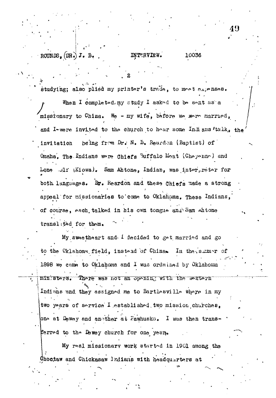ROUNDS,  $(DR_*)$  J. B.

INTERVIEW.

10036

studying; also pliéd my printer's trade, to meet expenses. When I completed my study I asked to be sent as a missionary to China. We - my wife, before we were married, and I-were invited to the church to hear some Indians 'talk, the being from Dr. N. B. Reardon (Baptist) of invitation Omaha, The Indians were Chiefs Buffalo Moat (Cheyenne) and Lone  $\lnot$ 1 (Kiowa). Sam Ahtone, Indian, was interpreter for both languages. Br. Reardon and these Chiefs made a strong appeal for missionaries to come to Oklahoma. These Indians, of course, each talked in his own tongue and Sam whione translited for them.

My sweetheart and 1 decided to get married and go to the Oklahoma field, instead of China. In the summer of 1898 we came to Oklahoma and I was ordained by Oklahoma ministers. There was not an opening with the western Indians and they assigned me to Bartlesville where in my two years of service I established two mission churches. one at Dewey and another at Pawhuska. I was then transferred to the Demey church for one year.

My real missionary work started in 1901 among the Choctaw and Chickasaw Indians with headquarters at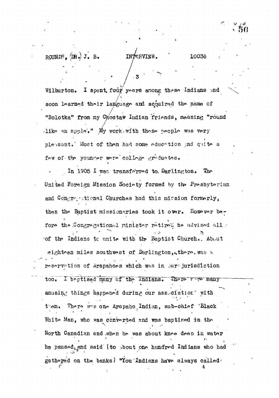10036

Wilburton. I spent four years among these Indians and soon learned their language and acquired the name of "Bolotka" from my Choctaw Indian friends, meaning "round like an apple." My work with these people was very plessant. Most of them had some education and quite a fow of the younger were college graduates.

INTERVIEW.

In 1905 I was transferred to Darlington. The United Foreign Mission Society formed by the Presbyterian and Congregational Churches had this mission formerly, then the Baptist missionaries took it over. However before the Congregational minister retired he advised all . of the Indians to unite with the Baptist Church. About eighten miles southwest of Darlington, there. was a reservation of Arapahoes which was in our jurisdiction I baptised many of the Indians. There were many  $\overline{\text{too}}$ . amusing things happened during our asseciation. with There wes one Arapaho Indian, sub-chief "Black  $t$  em. White Man, who was converted and was baptized in the North Canadian and when he was about knee deep in water he paused, and said (to about one hundred Indians who had gathoged on the banks) "You Indians have always called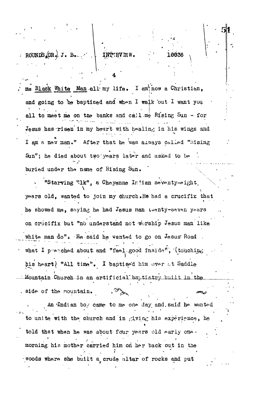ROUNDS DR. J. J. B. INTERVIEW.

me Black White Man all my life. I am now a Christian, and going to be baptised and when I walk out I want you all to meet me on the banks and call me Rising Sun - for Jesus has risen in my heart with healing in his wings and I am a new man." After that he was always called "Rising Sun"; he died about two years later and asked to be buried under the name of Rising Sun.

16636

"Starving "1k", a Cheyenne Indian seventy-eight. years old, wanted to join my church. He had a crucifix that he showed me, saying he had Jesus man twenty-seven years on crucifix but "no understand not worship Jesus man like white man do". He said he wanted to go on Jesus Road. what I peached about and "feel good inside", (touching his heart) "All time". I baptised him over at Saddle Mountain Church in an artificial baptistry built in the side of the mountain.

An Indian boy came to me one day and said he wanted to unite with the church and in giving his experience, he told that when he was about four years old early one. morning his mother carried him on her back out in the woods where she built a crude altar of rocks and put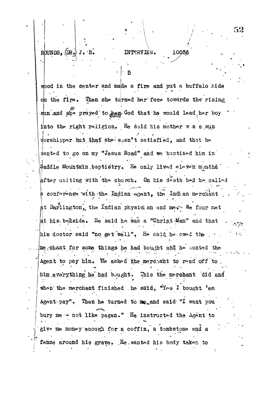# ROUNDS, DR.

### INTTRVIEW. 10036

wood in the center and made a fire and put a buffalo hide on the fire. Then she turned her face towards the rising sun and she prayed to have God that he would lead her boy into the right religion. He said his mother w.s a sun sorshipper but that she wisn't satisfied, and that he #anted to go on my "Jesus Road" and me baptised him in  $\beta$ addle Mountain baptistry. He only lived eleven months  $\beta$ after uniting with the church. On his death bed he called a conference with the Indian agent, the Indian merchant at Darlington, the Indian physician and mean We four met at his bedside. He said he was a "Christ Man" and that his doctor said "no get well". He said he owed the  $\cdot$ me chant for some things he had bought and he wanted the Agent to pay him. He asked the merchant to read off to him everything he had bought. This the merchant did and when the merchant finished the said, "Yes I bought 'em Agent-pay". Then he turned to me and said "I want you bury me - not like pagan." He instructed the Agent to give me money enough for a coffin, a tombstone and a fance around his grave. He wanted his body taken to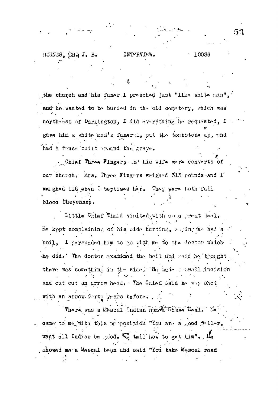the church and his funer 1 preached just "like white man", and he wanted to be buried in the old cometery, which was northeast of Darlington, I did everything he requested, I gave him a white man's funeral, put the tombstone up, and had a fonce built pround the grave.

. Chief Three Fingers . u. his wife were converts of our church. Mrs. Three Fingers weighed 315 pounds and I wed ghed 115 when I baptised her. They were both full blood Cheyennes.

Little Chief Timid visited with us a great leal. He kept complaining of his side hurting, suing the had a boil, I persuaded him to go with me to the doctor which the did. The doctor examined the boil and said be thought there was something in the side, He made a small incision and cut out an arrow head. The Chief Said he was shot with an arrow-forty years before...

There was a search Indian number of the Head. In came to me with this proposition "You are a good feller, want all Indian be good.  $\mathbb C$  tell how to get him". He showed me a Mescal bean and said "You take Mescal road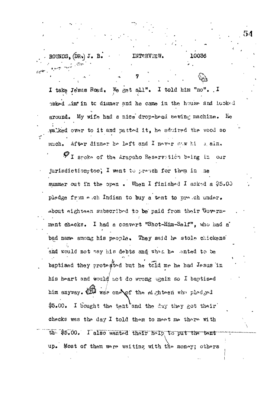ROUNDS, (DR.) J. B. INTERVIEW. 10036 I take Jesus Road. We get all". I told him "no". I haked .im' in to dinner and he came in the house and lucked around. My wife had a nice drop-head sewing machine. Ee walked over to it and patted it, he admired the wood so After dinner he left and I never saw hi much. a ain.  $\boldsymbol{\varphi}$  I spoke of the Arapaho Reservation being in our jurisdiction-too, I went to preach for them in me summer out in the open. When I finished I asked a \$5.00 pledge from each Indian to buy a tent to ure chander. about eighteen subscribed to be paid from their Covernment chacks. I had a convert "Shot-Him-Salf", who had a bad name among his people. They said he stole chickens and would not pay his debts and when he anted to be baptised they protested but he told me he had Jesus in his heart and would not do wrong again so I baptised him anyway. We was one of the eighteen who pledged I bought the tent and the day they got their \$5.00. checks was the day I told them to meet me there with the \$5.00. I also wanted their help to put the tent up. Most of them were waiting with the money; others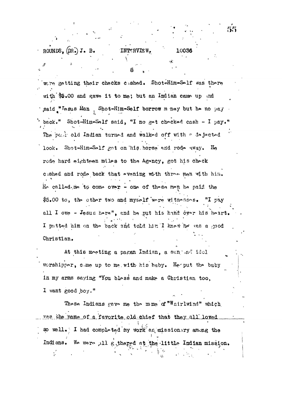## INTERVIEW.

10036

were getting their checks cashed. Shot-Him-Solf was there with \$5.00 and gave it to me; but an Indian came up and said "Lesus Man, Shot-Him-Self borrow m ney but he no pay back." Shot-Him-Salf said, "I no get checked cash - I pay." The post old Indian turned and walked off with a dejected look. Shot-Him-Salf got on his horse and rode away. He rode hard eighteen miles to the Agency, got his check cished and rode back that evening with three men with him. He called me to come over - one of these men he paid the \$5.00 to, the other two and myself were withesses. "I pay all I owe - Jesus here", and he put his hand over his heart. I patted him on the back and told him I knew he was a good Christian.

At this moeting a pagan Indian, a sun ad idel worshipper, come up to me with his baby. He put the baby in my arms saying "You bless and make a Christian too. I want good boy."

These Indians gave me the mime of "Whirlwind" which was the name of a favorite old chief that they all loved so well. I had completed my work as missionary among the Indians. We were all gethered at the little Indian mission. ť.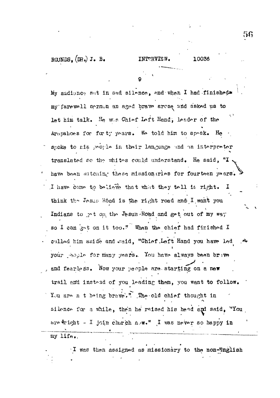ROUNDS,  $(DR<sub>o</sub>)$  J. B.

My audionce set in sad silence, and when I had finished. my farewell sermon an aged brave arese and asked us to let him talk. He was Chief Loft Hand, leader of the Arapahoes for furty years. We told him to speak. He spoke to his poople in their language and an interpreter translated so the whites could understand. He said, "I have been watching these missionaries for fourteen years. I have come to believe that what they tell is right. I think the Jesus Rônd is the right road and I want you Indians to get on, the Jesus Road and get out of my way so I can gat on it too." When the chief had finished I culled him aside and said, "Chief Left Hand you have led your pople for many years. You have always been brive and fearless. Now your people are starting on a new trail and instead of you leading them, you want to follow. You are n t being brave." The old chief thought in silence for a while, then he raised his head and said, "You are Tight - I join charch now." I was never so happy in my life.

I was then assigned as missionary to the non-English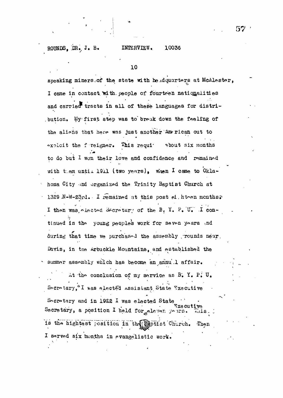#### INTERVIEW. 10036

10

speaking miners of the state with headquarters at McAlester, I came in contact with people of fourteen nationalities and carried tracts in all of these languages for distribution. My first step was to break down the feeling of the aliens that here was just another American out to  $\sim$ xoloit the foreigner. This require about six months to do but I won their love and confidence and remained with them until 1911 (two years), when I came to Oklahoma City and organized the Trinity Baptist Church at 1329 N-W-23rd. I remained at this post at hten months? I then was elected Secretary of the B. Y. P. U. I continued in the young peoples work for seven years .nd during that time we purchased the assembly rounds near. Davis, in the Arbuckle Mountains, and established the summer assembly which has become an annu.l affair. At the conclusion of my service as B. Y. P. U. Secretary, I was elected assistant State Executive Socretary and in 1922 I was elected State **Txe cutive** Secretary, a position I held for eleven years. is the hightest position in the apptist Church. Then I served six months in evangelistic work.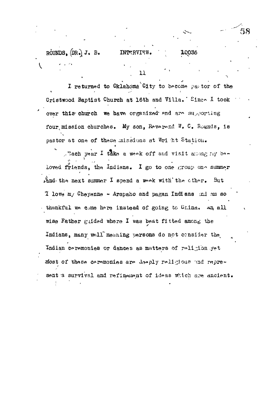$\overline{11}$ 

10036

I returned to Oklahoma City to become partor of the Cristwood Baptist Church at 16th and Villa. Sines I took over this church we have organized and are supporting four mission churches. My son, Reverend W. C. Rounds, is pastor at one of these missions at Wright Station.

. "ach year I take a week off and visit anong my be-Loved friends, the Indians. I go to one group one summer And the next summer I spend a weak with the other. But  $\mathfrak T$  love m/ Cheyenne - Arapaho and pagan Indians ind am so thankful we came here instead of going to China. An all wise Father guided where I was beat fitted among the Indians, many wall meaning persons do not consider the Indian coremonies or dances as matters of roligion yet most of these ceremonies are deeply religious and represent a survival and refinament of ideas which are ancient.